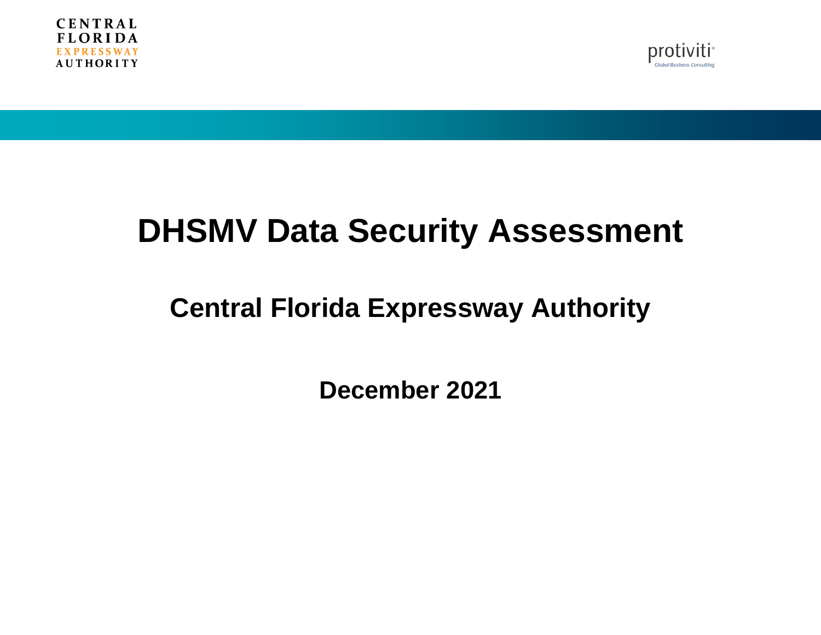



# **DHSMV Data Security Assessment**

# **Central Florida Expressway Authority**

**December 2021**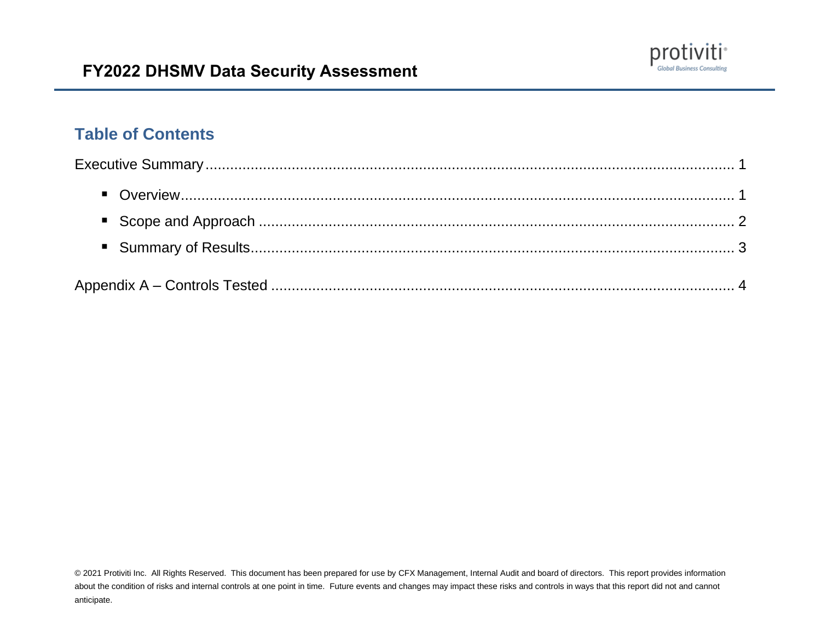

### **Table of Contents**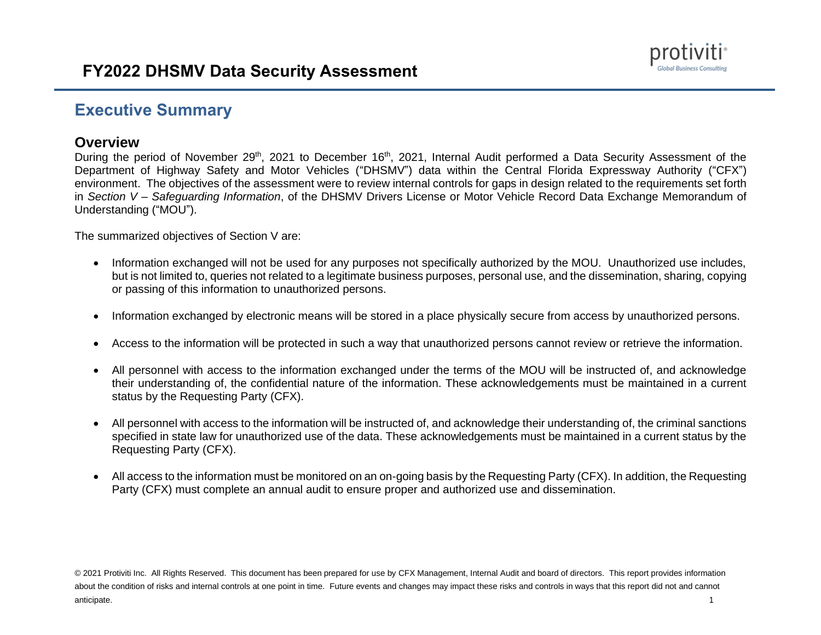

#### <span id="page-2-0"></span>**Executive Summary**

#### <span id="page-2-1"></span>**Overview**

During the period of November 29<sup>th</sup>, 2021 to December 16<sup>th</sup>, 2021, Internal Audit performed a Data Security Assessment of the Department of Highway Safety and Motor Vehicles ("DHSMV") data within the Central Florida Expressway Authority ("CFX") environment. The objectives of the assessment were to review internal controls for gaps in design related to the requirements set forth in *Section V – Safeguarding Information*, of the DHSMV Drivers License or Motor Vehicle Record Data Exchange Memorandum of Understanding ("MOU").

The summarized objectives of Section V are:

- Information exchanged will not be used for any purposes not specifically authorized by the MOU. Unauthorized use includes, but is not limited to, queries not related to a legitimate business purposes, personal use, and the dissemination, sharing, copying or passing of this information to unauthorized persons.
- Information exchanged by electronic means will be stored in a place physically secure from access by unauthorized persons.
- Access to the information will be protected in such a way that unauthorized persons cannot review or retrieve the information.
- All personnel with access to the information exchanged under the terms of the MOU will be instructed of, and acknowledge their understanding of, the confidential nature of the information. These acknowledgements must be maintained in a current status by the Requesting Party (CFX).
- All personnel with access to the information will be instructed of, and acknowledge their understanding of, the criminal sanctions specified in state law for unauthorized use of the data. These acknowledgements must be maintained in a current status by the Requesting Party (CFX).
- All access to the information must be monitored on an on-going basis by the Requesting Party (CFX). In addition, the Requesting Party (CFX) must complete an annual audit to ensure proper and authorized use and dissemination.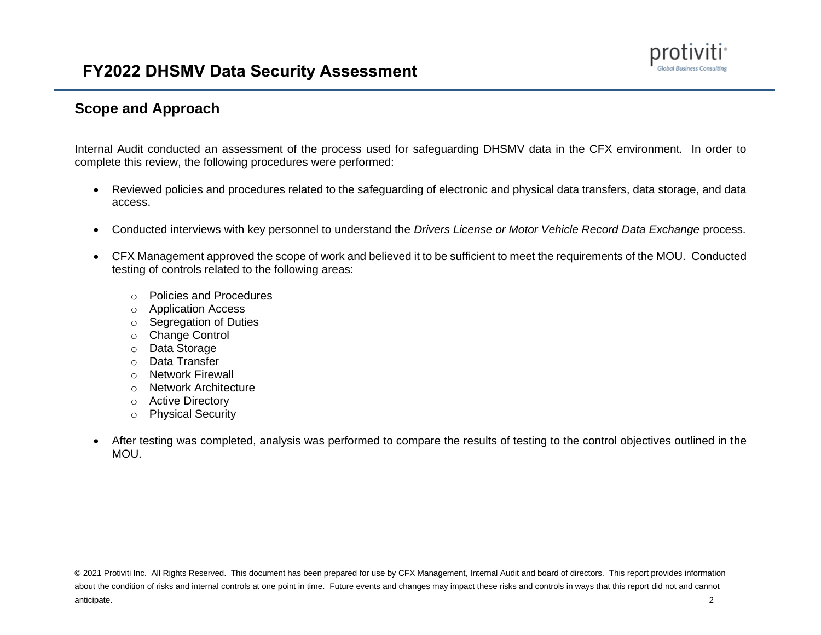#### <span id="page-3-0"></span>**Scope and Approach**

Internal Audit conducted an assessment of the process used for safeguarding DHSMV data in the CFX environment. In order to complete this review, the following procedures were performed:

- Reviewed policies and procedures related to the safeguarding of electronic and physical data transfers, data storage, and data access.
- Conducted interviews with key personnel to understand the *Drivers License or Motor Vehicle Record Data Exchange* process.
- CFX Management approved the scope of work and believed it to be sufficient to meet the requirements of the MOU. Conducted testing of controls related to the following areas:
	- o Policies and Procedures
	- o Application Access
	- o Segregation of Duties
	- o Change Control
	- o Data Storage
	- o Data Transfer
	- o Network Firewall
	- o Network Architecture
	- o Active Directory
	- o Physical Security
- After testing was completed, analysis was performed to compare the results of testing to the control objectives outlined in the MOU.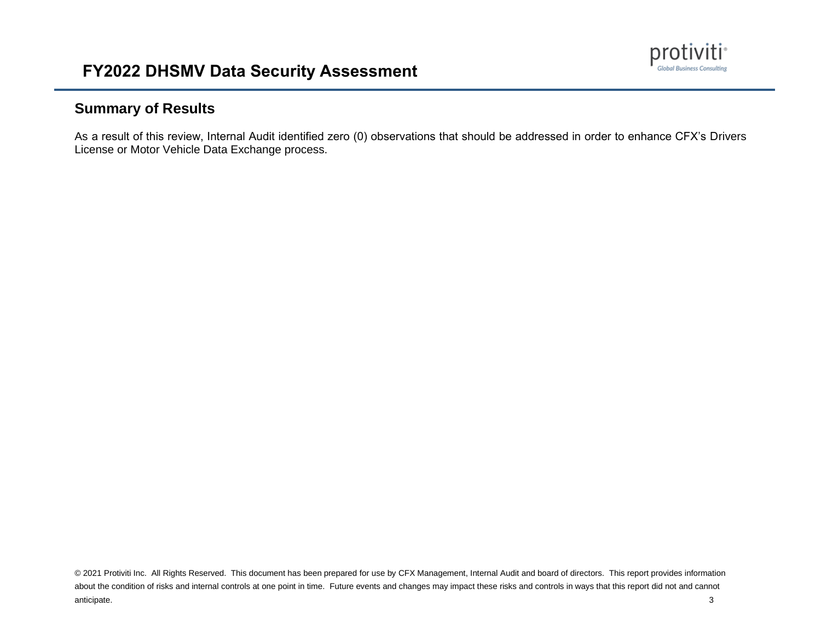

#### <span id="page-4-0"></span>**Summary of Results**

As a result of this review, Internal Audit identified zero (0) observations that should be addressed in order to enhance CFX's Drivers License or Motor Vehicle Data Exchange process.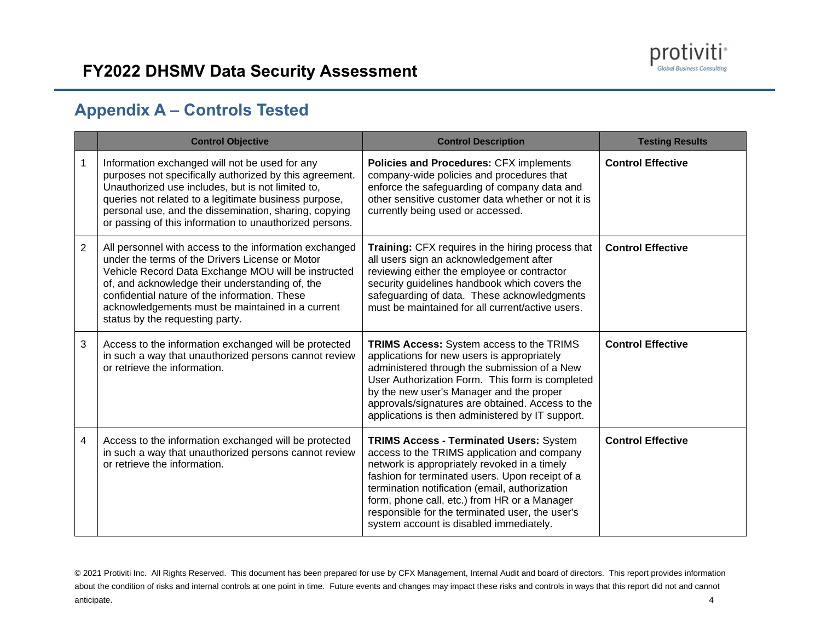

## <span id="page-5-0"></span>**Appendix A – Controls Tested**

|                | <b>Control Objective</b>                                                                                                                                                                                                                                                                                                                                    | <b>Control Description</b>                                                                                                                                                                                                                                                                                                                                                                       | <b>Testing Results</b>   |
|----------------|-------------------------------------------------------------------------------------------------------------------------------------------------------------------------------------------------------------------------------------------------------------------------------------------------------------------------------------------------------------|--------------------------------------------------------------------------------------------------------------------------------------------------------------------------------------------------------------------------------------------------------------------------------------------------------------------------------------------------------------------------------------------------|--------------------------|
| 1              | Information exchanged will not be used for any<br>purposes not specifically authorized by this agreement.<br>Unauthorized use includes, but is not limited to,<br>queries not related to a legitimate business purpose,<br>personal use, and the dissemination, sharing, copying<br>or passing of this information to unauthorized persons.                 | Policies and Procedures: CFX implements<br>company-wide policies and procedures that<br>enforce the safeguarding of company data and<br>other sensitive customer data whether or not it is<br>currently being used or accessed.                                                                                                                                                                  | <b>Control Effective</b> |
| $\overline{2}$ | All personnel with access to the information exchanged<br>under the terms of the Drivers License or Motor<br>Vehicle Record Data Exchange MOU will be instructed<br>of, and acknowledge their understanding of, the<br>confidential nature of the information. These<br>acknowledgements must be maintained in a current<br>status by the requesting party. | <b>Training:</b> CFX requires in the hiring process that<br>all users sign an acknowledgement after<br>reviewing either the employee or contractor<br>security guidelines handbook which covers the<br>safeguarding of data. These acknowledgments<br>must be maintained for all current/active users.                                                                                           | <b>Control Effective</b> |
| 3              | Access to the information exchanged will be protected<br>in such a way that unauthorized persons cannot review<br>or retrieve the information.                                                                                                                                                                                                              | <b>TRIMS Access:</b> System access to the TRIMS<br>applications for new users is appropriately<br>administered through the submission of a New<br>User Authorization Form. This form is completed<br>by the new user's Manager and the proper<br>approvals/signatures are obtained. Access to the<br>applications is then administered by IT support.                                            | <b>Control Effective</b> |
| 4              | Access to the information exchanged will be protected<br>in such a way that unauthorized persons cannot review<br>or retrieve the information.                                                                                                                                                                                                              | <b>TRIMS Access - Terminated Users: System</b><br>access to the TRIMS application and company<br>network is appropriately revoked in a timely<br>fashion for terminated users. Upon receipt of a<br>termination notification (email, authorization<br>form, phone call, etc.) from HR or a Manager<br>responsible for the terminated user, the user's<br>system account is disabled immediately. | <b>Control Effective</b> |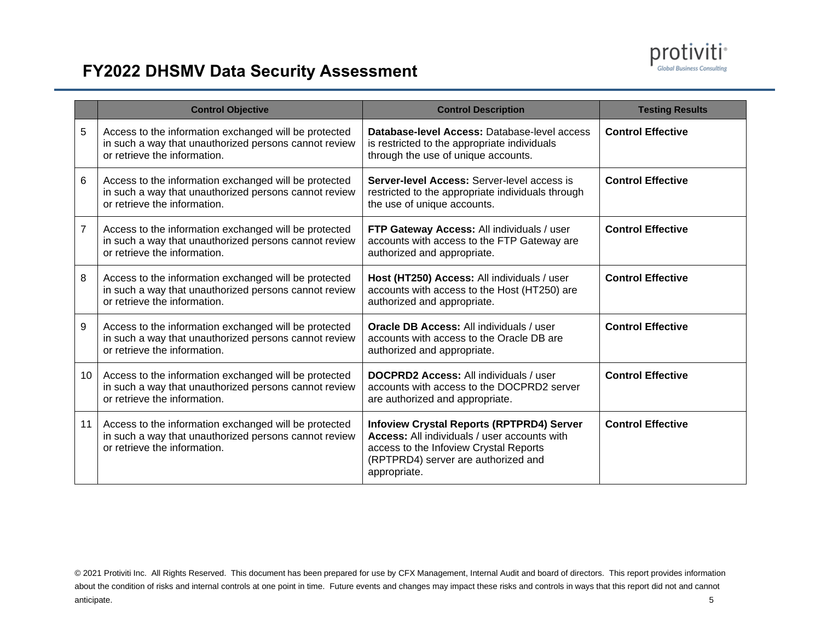

# **FY2022 DHSMV Data Security Assessment**

|    | <b>Control Objective</b>                                                                                                                       | <b>Control Description</b>                                                                                                                                                                        | <b>Testing Results</b>   |
|----|------------------------------------------------------------------------------------------------------------------------------------------------|---------------------------------------------------------------------------------------------------------------------------------------------------------------------------------------------------|--------------------------|
| 5  | Access to the information exchanged will be protected<br>in such a way that unauthorized persons cannot review<br>or retrieve the information. | Database-level Access: Database-level access<br>is restricted to the appropriate individuals<br>through the use of unique accounts.                                                               | <b>Control Effective</b> |
| 6  | Access to the information exchanged will be protected<br>in such a way that unauthorized persons cannot review<br>or retrieve the information. | <b>Server-level Access: Server-level access is</b><br>restricted to the appropriate individuals through<br>the use of unique accounts.                                                            | <b>Control Effective</b> |
| 7  | Access to the information exchanged will be protected<br>in such a way that unauthorized persons cannot review<br>or retrieve the information. | FTP Gateway Access: All individuals / user<br>accounts with access to the FTP Gateway are<br>authorized and appropriate.                                                                          | <b>Control Effective</b> |
| 8  | Access to the information exchanged will be protected<br>in such a way that unauthorized persons cannot review<br>or retrieve the information. | Host (HT250) Access: All individuals / user<br>accounts with access to the Host (HT250) are<br>authorized and appropriate.                                                                        | <b>Control Effective</b> |
| 9  | Access to the information exchanged will be protected<br>in such a way that unauthorized persons cannot review<br>or retrieve the information. | <b>Oracle DB Access: All individuals / user</b><br>accounts with access to the Oracle DB are<br>authorized and appropriate.                                                                       | <b>Control Effective</b> |
| 10 | Access to the information exchanged will be protected<br>in such a way that unauthorized persons cannot review<br>or retrieve the information. | <b>DOCPRD2 Access: All individuals / user</b><br>accounts with access to the DOCPRD2 server<br>are authorized and appropriate.                                                                    | <b>Control Effective</b> |
| 11 | Access to the information exchanged will be protected<br>in such a way that unauthorized persons cannot review<br>or retrieve the information. | <b>Infoview Crystal Reports (RPTPRD4) Server</b><br>Access: All individuals / user accounts with<br>access to the Infoview Crystal Reports<br>(RPTPRD4) server are authorized and<br>appropriate. | <b>Control Effective</b> |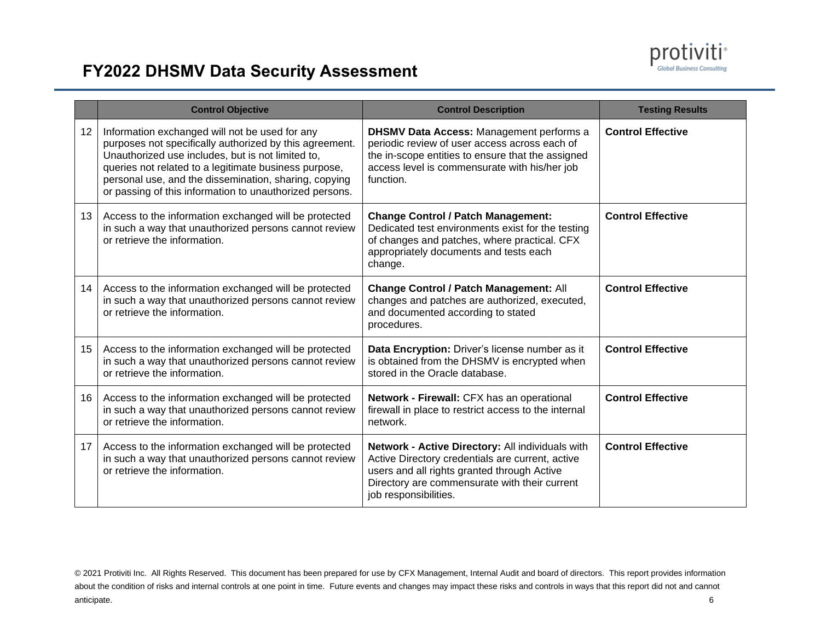

# **FY2022 DHSMV Data Security Assessment**

|                  | <b>Control Objective</b>                                                                                                                                                                                                                                                                                                                    | <b>Control Description</b>                                                                                                                                                                                                    | <b>Testing Results</b>   |
|------------------|---------------------------------------------------------------------------------------------------------------------------------------------------------------------------------------------------------------------------------------------------------------------------------------------------------------------------------------------|-------------------------------------------------------------------------------------------------------------------------------------------------------------------------------------------------------------------------------|--------------------------|
| 12 <sup>2</sup>  | Information exchanged will not be used for any<br>purposes not specifically authorized by this agreement.<br>Unauthorized use includes, but is not limited to,<br>queries not related to a legitimate business purpose,<br>personal use, and the dissemination, sharing, copying<br>or passing of this information to unauthorized persons. | <b>DHSMV Data Access: Management performs a</b><br>periodic review of user access across each of<br>the in-scope entities to ensure that the assigned<br>access level is commensurate with his/her job<br>function.           | <b>Control Effective</b> |
| 13 <sup>13</sup> | Access to the information exchanged will be protected<br>in such a way that unauthorized persons cannot review<br>or retrieve the information.                                                                                                                                                                                              | <b>Change Control / Patch Management:</b><br>Dedicated test environments exist for the testing<br>of changes and patches, where practical. CFX<br>appropriately documents and tests each<br>change.                           | <b>Control Effective</b> |
| 14               | Access to the information exchanged will be protected<br>in such a way that unauthorized persons cannot review<br>or retrieve the information.                                                                                                                                                                                              | <b>Change Control / Patch Management: All</b><br>changes and patches are authorized, executed,<br>and documented according to stated<br>procedures.                                                                           | <b>Control Effective</b> |
| 15 <sub>1</sub>  | Access to the information exchanged will be protected<br>in such a way that unauthorized persons cannot review<br>or retrieve the information.                                                                                                                                                                                              | Data Encryption: Driver's license number as it<br>is obtained from the DHSMV is encrypted when<br>stored in the Oracle database.                                                                                              | <b>Control Effective</b> |
| 16               | Access to the information exchanged will be protected<br>in such a way that unauthorized persons cannot review<br>or retrieve the information.                                                                                                                                                                                              | Network - Firewall: CFX has an operational<br>firewall in place to restrict access to the internal<br>network.                                                                                                                | <b>Control Effective</b> |
| 17 <sup>2</sup>  | Access to the information exchanged will be protected<br>in such a way that unauthorized persons cannot review<br>or retrieve the information.                                                                                                                                                                                              | Network - Active Directory: All individuals with<br>Active Directory credentials are current, active<br>users and all rights granted through Active<br>Directory are commensurate with their current<br>job responsibilities. | <b>Control Effective</b> |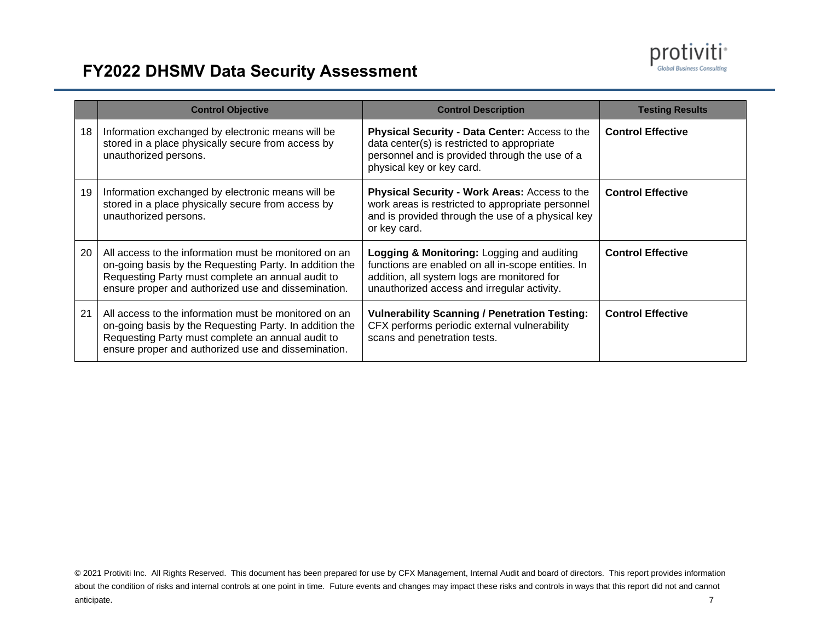

# **FY2022 DHSMV Data Security Assessment**

|    | <b>Control Objective</b>                                                                                                                                                                                                     | <b>Control Description</b>                                                                                                                                                                     | <b>Testing Results</b>   |
|----|------------------------------------------------------------------------------------------------------------------------------------------------------------------------------------------------------------------------------|------------------------------------------------------------------------------------------------------------------------------------------------------------------------------------------------|--------------------------|
| 18 | Information exchanged by electronic means will be<br>stored in a place physically secure from access by<br>unauthorized persons.                                                                                             | Physical Security - Data Center: Access to the<br>data center(s) is restricted to appropriate<br>personnel and is provided through the use of a<br>physical key or key card.                   | <b>Control Effective</b> |
| 19 | Information exchanged by electronic means will be<br>stored in a place physically secure from access by<br>unauthorized persons.                                                                                             | Physical Security - Work Areas: Access to the<br>work areas is restricted to appropriate personnel<br>and is provided through the use of a physical key<br>or key card.                        | <b>Control Effective</b> |
| 20 | All access to the information must be monitored on an<br>on-going basis by the Requesting Party. In addition the<br>Requesting Party must complete an annual audit to<br>ensure proper and authorized use and dissemination. | Logging & Monitoring: Logging and auditing<br>functions are enabled on all in-scope entities. In<br>addition, all system logs are monitored for<br>unauthorized access and irregular activity. | <b>Control Effective</b> |
| 21 | All access to the information must be monitored on an<br>on-going basis by the Requesting Party. In addition the<br>Requesting Party must complete an annual audit to<br>ensure proper and authorized use and dissemination. | <b>Vulnerability Scanning / Penetration Testing:</b><br>CFX performs periodic external vulnerability<br>scans and penetration tests.                                                           | <b>Control Effective</b> |

<sup>© 2021</sup> Protiviti Inc. All Rights Reserved. This document has been prepared for use by CFX Management, Internal Audit and board of directors. This report provides information about the condition of risks and internal controls at one point in time. Future events and changes may impact these risks and controls in ways that this report did not and cannot anticipate. 7